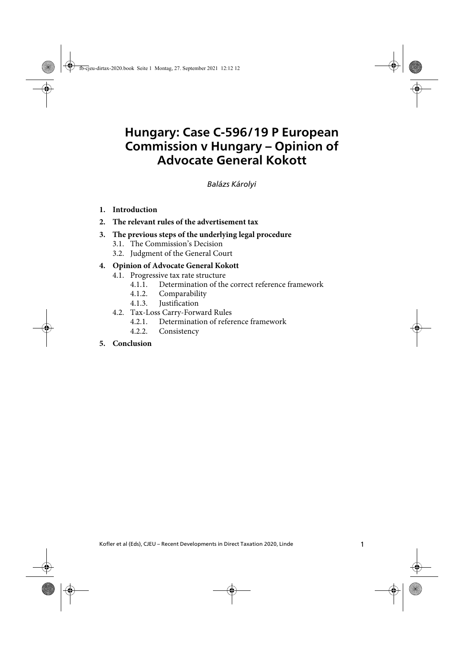# **Hungary: Case C-596/19 P European Commission v Hungary – Opinion of Advocate General Kokott**

Balázs Károlyi

- **1. Introduction**
- **2. The relevant rules of the advertisement tax**
- **3. The previous steps of the underlying legal procedure**
	- 3.1. The Commission's Decision
	- 3.2. Judgment of the General Court

#### **4. Opinion of Advocate General Kokott**

- 4.1. Progressive tax rate structure
	- 4.1.1. Determination of the correct reference framework
	- 4.1.2. Comparability
	- 4.1.3. Justification
- 4.2. Tax-Loss Carry-Forward Rules
	- 4.2.1. Determination of reference framework
	- 4.2.2. Consistency

#### **5. Conclusion**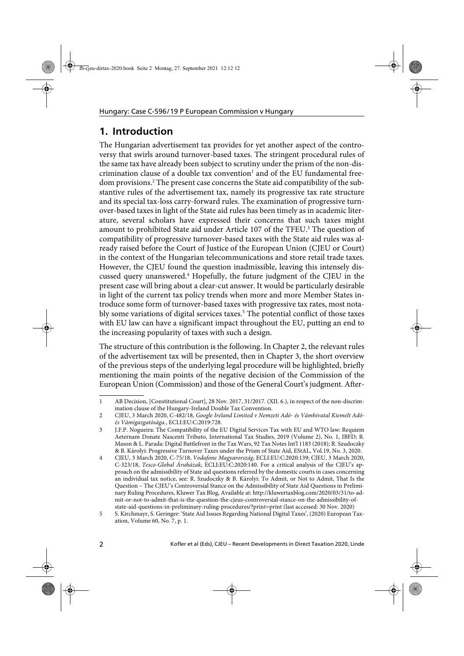## **1. Introduction**

The Hungarian advertisement tax provides for yet another aspect of the controversy that swirls around turnover-based taxes. The stringent procedural rules of the same tax have already been subject to scrutiny under the prism of the non-discrimination clause of a double tax convention<sup>1</sup> and of the EU fundamental freedom provisions.2 The present case concerns the State aid compatibility of the substantive rules of the advertisement tax, namely its progressive tax rate structure and its special tax-loss carry-forward rules. The examination of progressive turnover-based taxes in light of the State aid rules has been timely as in academic literature, several scholars have expressed their concerns that such taxes might amount to prohibited State aid under Article 107 of the TFEU.<sup>3</sup> The question of compatibility of progressive turnover-based taxes with the State aid rules was already raised before the Court of Justice of the European Union (CJEU or Court) in the context of the Hungarian telecommunications and store retail trade taxes. However, the CJEU found the question inadmissible, leaving this intensely discussed query unanswered.<sup>4</sup> Hopefully, the future judgment of the CJEU in the present case will bring about a clear-cut answer. It would be particularly desirable in light of the current tax policy trends when more and more Member States introduce some form of turnover-based taxes with progressive tax rates, most notably some variations of digital services taxes.<sup>5</sup> The potential conflict of those taxes with EU law can have a significant impact throughout the EU, putting an end to the increasing popularity of taxes with such a design.

The structure of this contribution is the following. In Chapter 2, the relevant rules of the advertisement tax will be presented, then in Chapter 3, the short overview of the previous steps of the underlying legal procedure will be highlighted, briefly mentioning the main points of the negative decision of the Commission of the European Union (Commission) and those of the General Court's judgment. After-

<sup>1</sup> AB Decision, [Constitutional Court], 28 Nov. 2017, 31/2017. (XII. 6.), in respect of the non-discrimination clause of the Hungary-Ireland Double Tax Convention.

<sup>2</sup> CJEU, 3 March 2020, C-482/18, Google Ireland Limited v Nemzeti Adó- és Vámhivatal Kiemelt Adóés Vámigazgatósága., ECLI:EU:C:2019:728.

<sup>3</sup> J.F.P. Nogueira: The Compatibility of the EU Digital Services Tax with EU and WTO law: Requiem Aeternam Donate Nascenti Tributo, International Tax Studies, 2019 (Volume 2), No. 1, IBFD; R. Mason & L. Parada: Digital Battlefront in the Tax Wars, 92 Tax Notes Int'l 1183 (2018); R. Szudoczky & B. Károlyi: Progressive Turnover Taxes under the Prism of State Aid, EStAL, Vol.19, No. 3, 2020.

<sup>4</sup> CJEU, 3 March 2020, C-75/18, Vodafone Magyarország, ECLI:EU:C:2020:139; CJEU, 3 March 2020, C-323/18, Tesco-Global Áruházak, ECLI:EU:C:2020:140. For a critical analysis of the CJEU's approach on the admissibility of State aid questions referred by the domestic courts in cases concerning an individual tax notice, see: R. Szudoczky & B. Károlyi: To Admit, or Not to Admit, That Is the Question – The CJEU's Controversial Stance on the Admissibility of State Aid Questions in Preliminary Ruling Procedures, Kluwer Tax Blog, Available at: http://kluwertaxblog.com/2020/03/31/to-admit-or-not-to-admit-that-is-the-question-the-cjeus-controversial-stance-on-the-admissibility-ofstate-aid-questions-in-preliminary-ruling-procedures/?print=print (last accessed: 30 Nov. 2020)

<sup>5</sup> S. Kirchmayr, S. Geringer: 'State Aid Issues Regarding National Digital Taxes', (2020) European Taxation, Volume 60, No. 7, p. 1.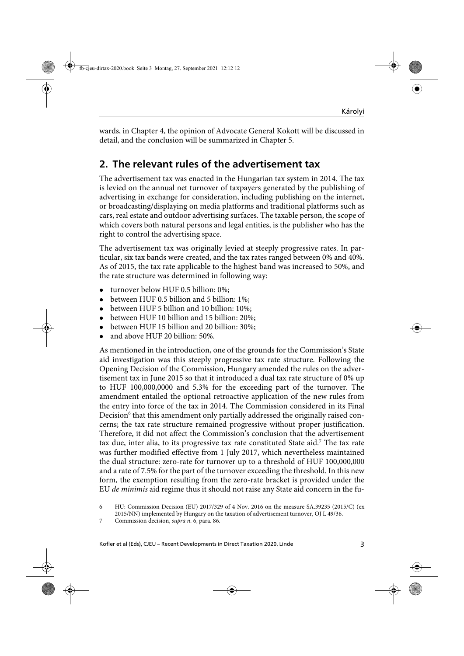wards, in Chapter 4, the opinion of Advocate General Kokott will be discussed in detail, and the conclusion will be summarized in Chapter 5.

## **2. The relevant rules of the advertisement tax**

The advertisement tax was enacted in the Hungarian tax system in 2014. The tax is levied on the annual net turnover of taxpayers generated by the publishing of advertising in exchange for consideration, including publishing on the internet, or broadcasting/displaying on media platforms and traditional platforms such as cars, real estate and outdoor advertising surfaces. The taxable person, the scope of which covers both natural persons and legal entities, is the publisher who has the right to control the advertising space.

The advertisement tax was originally levied at steeply progressive rates. In particular, six tax bands were created, and the tax rates ranged between 0% and 40%. As of 2015, the tax rate applicable to the highest band was increased to 50%, and the rate structure was determined in following way:

- turnover below HUF 0.5 billion: 0%;
- between HUF 0.5 billion and 5 billion: 1%;
- between HUF 5 billion and 10 billion: 10%;
- between HUF 10 billion and 15 billion: 20%;
- between HUF 15 billion and 20 billion: 30%;
- and above HUF 20 billion: 50%.

As mentioned in the introduction, one of the grounds for the Commission's State aid investigation was this steeply progressive tax rate structure. Following the Opening Decision of the Commission, Hungary amended the rules on the advertisement tax in June 2015 so that it introduced a dual tax rate structure of 0% up to HUF 100,000,0000 and 5.3% for the exceeding part of the turnover. The amendment entailed the optional retroactive application of the new rules from the entry into force of the tax in 2014. The Commission considered in its Final Decision<sup>6</sup> that this amendment only partially addressed the originally raised concerns; the tax rate structure remained progressive without proper justification. Therefore, it did not affect the Commission's conclusion that the advertisement tax due, inter alia, to its progressive tax rate constituted State aid.<sup>7</sup> The tax rate was further modified effective from 1 July 2017, which nevertheless maintained the dual structure: zero-rate for turnover up to a threshold of HUF 100,000,000 and a rate of 7.5% for the part of the turnover exceeding the threshold. In this new form, the exemption resulting from the zero-rate bracket is provided under the EU de minimis aid regime thus it should not raise any State aid concern in the fu-

<sup>6</sup> HU: Commission Decision (EU) 2017/329 of 4 Nov. 2016 on the measure SA.39235 (2015/C) (ex 2015/NN) implemented by Hungary on the taxation of advertisement turnover, OJ L 49/36.

<sup>7</sup> Commission decision, supra n. 6, para. 86.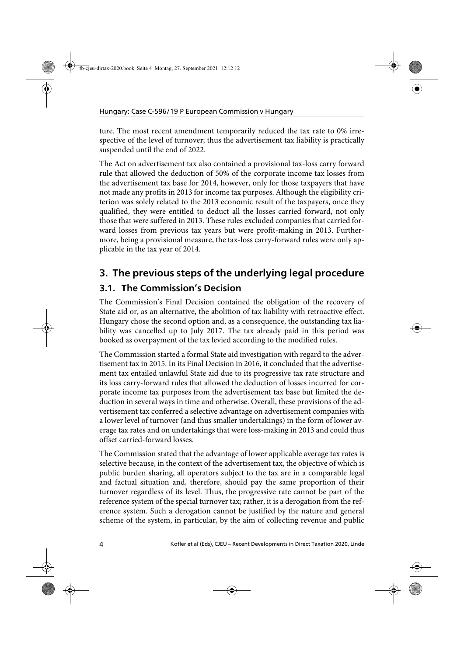ture. The most recent amendment temporarily reduced the tax rate to 0% irrespective of the level of turnover; thus the advertisement tax liability is practically suspended until the end of 2022.

The Act on advertisement tax also contained a provisional tax-loss carry forward rule that allowed the deduction of 50% of the corporate income tax losses from the advertisement tax base for 2014, however, only for those taxpayers that have not made any profits in 2013 for income tax purposes. Although the eligibility criterion was solely related to the 2013 economic result of the taxpayers, once they qualified, they were entitled to deduct all the losses carried forward, not only those that were suffered in 2013. These rules excluded companies that carried forward losses from previous tax years but were profit-making in 2013. Furthermore, being a provisional measure, the tax-loss carry-forward rules were only applicable in the tax year of 2014.

## **3. The previous steps of the underlying legal procedure 3.1. The Commission's Decision**

The Commission's Final Decision contained the obligation of the recovery of State aid or, as an alternative, the abolition of tax liability with retroactive effect. Hungary chose the second option and, as a consequence, the outstanding tax liability was cancelled up to July 2017. The tax already paid in this period was booked as overpayment of the tax levied according to the modified rules.

The Commission started a formal State aid investigation with regard to the advertisement tax in 2015. In its Final Decision in 2016, it concluded that the advertisement tax entailed unlawful State aid due to its progressive tax rate structure and its loss carry-forward rules that allowed the deduction of losses incurred for corporate income tax purposes from the advertisement tax base but limited the deduction in several ways in time and otherwise. Overall, these provisions of the advertisement tax conferred a selective advantage on advertisement companies with a lower level of turnover (and thus smaller undertakings) in the form of lower average tax rates and on undertakings that were loss-making in 2013 and could thus offset carried-forward losses.

The Commission stated that the advantage of lower applicable average tax rates is selective because, in the context of the advertisement tax, the objective of which is public burden sharing, all operators subject to the tax are in a comparable legal and factual situation and, therefore, should pay the same proportion of their turnover regardless of its level. Thus, the progressive rate cannot be part of the reference system of the special turnover tax; rather, it is a derogation from the reference system. Such a derogation cannot be justified by the nature and general scheme of the system, in particular, by the aim of collecting revenue and public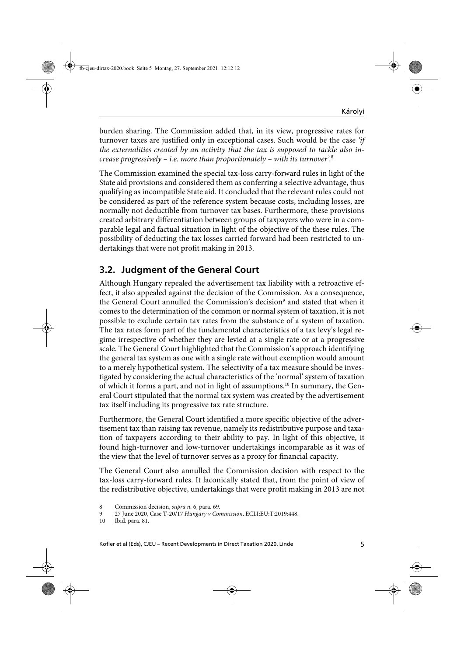burden sharing. The Commission added that, in its view, progressive rates for turnover taxes are justified only in exceptional cases. Such would be the case 'if the externalities created by an activity that the tax is supposed to tackle also increase progressively – i.e. more than proportionately – with its turnover'. 8

The Commission examined the special tax-loss carry-forward rules in light of the State aid provisions and considered them as conferring a selective advantage, thus qualifying as incompatible State aid. It concluded that the relevant rules could not be considered as part of the reference system because costs, including losses, are normally not deductible from turnover tax bases. Furthermore, these provisions created arbitrary differentiation between groups of taxpayers who were in a comparable legal and factual situation in light of the objective of the these rules. The possibility of deducting the tax losses carried forward had been restricted to undertakings that were not profit making in 2013.

## **3.2. Judgment of the General Court**

Although Hungary repealed the advertisement tax liability with a retroactive effect, it also appealed against the decision of the Commission. As a consequence, the General Court annulled the Commission's decision<sup>9</sup> and stated that when it comes to the determination of the common or normal system of taxation, it is not possible to exclude certain tax rates from the substance of a system of taxation. The tax rates form part of the fundamental characteristics of a tax levy's legal regime irrespective of whether they are levied at a single rate or at a progressive scale. The General Court highlighted that the Commission's approach identifying the general tax system as one with a single rate without exemption would amount to a merely hypothetical system. The selectivity of a tax measure should be investigated by considering the actual characteristics of the 'normal' system of taxation of which it forms a part, and not in light of assumptions.<sup>10</sup> In summary, the General Court stipulated that the normal tax system was created by the advertisement tax itself including its progressive tax rate structure.

Furthermore, the General Court identified a more specific objective of the advertisement tax than raising tax revenue, namely its redistributive purpose and taxation of taxpayers according to their ability to pay. In light of this objective, it found high-turnover and low-turnover undertakings incomparable as it was of the view that the level of turnover serves as a proxy for financial capacity.

The General Court also annulled the Commission decision with respect to the tax-loss carry-forward rules. It laconically stated that, from the point of view of the redistributive objective, undertakings that were profit making in 2013 are not

<sup>8</sup> Commission decision, *supra n.* 6, para. 69.

<sup>9 27</sup> June 2020, Case T-20/17 Hungary v Commission, ECLI:EU:T:2019:448.

<sup>10</sup> Ibid. para. 81.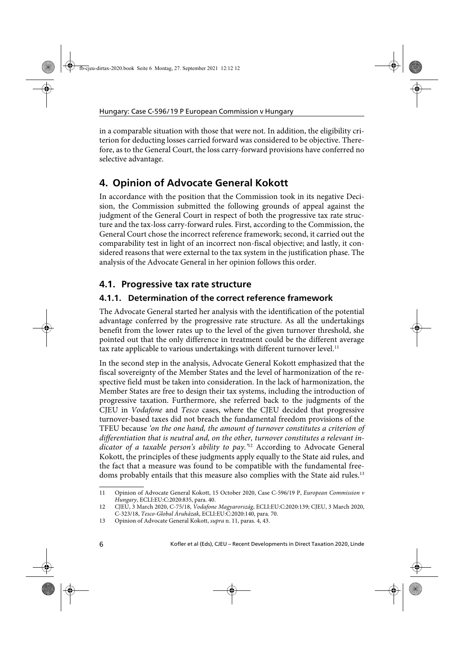in a comparable situation with those that were not. In addition, the eligibility criterion for deducting losses carried forward was considered to be objective. Therefore, as to the General Court, the loss carry-forward provisions have conferred no selective advantage.

# **4. Opinion of Advocate General Kokott**

In accordance with the position that the Commission took in its negative Decision, the Commission submitted the following grounds of appeal against the judgment of the General Court in respect of both the progressive tax rate structure and the tax-loss carry-forward rules. First, according to the Commission, the General Court chose the incorrect reference framework; second, it carried out the comparability test in light of an incorrect non-fiscal objective; and lastly, it considered reasons that were external to the tax system in the justification phase. The analysis of the Advocate General in her opinion follows this order.

### **4.1. Progressive tax rate structure**

#### **4.1.1. Determination of the correct reference framework**

The Advocate General started her analysis with the identification of the potential advantage conferred by the progressive rate structure. As all the undertakings benefit from the lower rates up to the level of the given turnover threshold, she pointed out that the only difference in treatment could be the different average tax rate applicable to various undertakings with different turnover level.<sup>11</sup>

In the second step in the analysis, Advocate General Kokott emphasized that the fiscal sovereignty of the Member States and the level of harmonization of the respective field must be taken into consideration. In the lack of harmonization, the Member States are free to design their tax systems, including the introduction of progressive taxation. Furthermore, she referred back to the judgments of the CJEU in Vodafone and Tesco cases, where the CJEU decided that progressive turnover-based taxes did not breach the fundamental freedom provisions of the TFEU because 'on the one hand, the amount of turnover constitutes a criterion of differentiation that is neutral and, on the other, turnover constitutes a relevant indicator of a taxable person's ability to pay.<sup>'12</sup> According to Advocate General Kokott, the principles of these judgments apply equally to the State aid rules, and the fact that a measure was found to be compatible with the fundamental freedoms probably entails that this measure also complies with the State aid rules.13

<sup>11</sup> Opinion of Advocate General Kokott, 15 October 2020, Case C-596/19 P, European Commission v Hungary, ECLI:EU:C:2020:835, para. 40.

<sup>12</sup> CJEU, 3 March 2020, C-75/18, Vodafone Magyarország, ECLI:EU:C:2020:139; CJEU, 3 March 2020, C-323/18, Tesco-Global Áruházak, ECLI:EU:C:2020:140, para. 70.

<sup>13</sup> Opinion of Advocate General Kokott, supra n. 11, paras. 4, 43.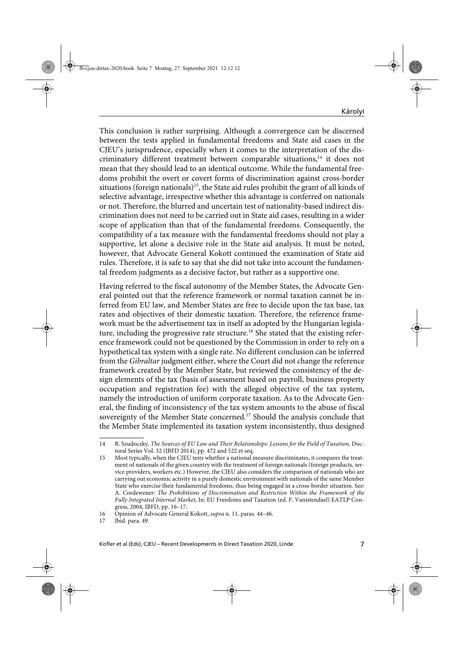This conclusion is rather surprising. Although a convergence can be discerned between the tests applied in fundamental freedoms and State aid cases in the CJEU's jurisprudence, especially when it comes to the interpretation of the discriminatory different treatment between comparable situations,<sup>14</sup> it does not mean that they should lead to an identical outcome. While the fundamental freedoms prohibit the overt or covert forms of discrimination against cross-border situations (foreign nationals)<sup>15</sup>, the State aid rules prohibit the grant of all kinds of selective advantage, irrespective whether this advantage is conferred on nationals or not. Therefore, the blurred and uncertain test of nationality-based indirect discrimination does not need to be carried out in State aid cases, resulting in a wider scope of application than that of the fundamental freedoms. Consequently, the compatibility of a tax measure with the fundamental freedoms should not play a supportive, let alone a decisive role in the State aid analysis. It must be noted, however, that Advocate General Kokott continued the examination of State aid rules. Therefore, it is safe to say that she did not take into account the fundamental freedom judgments as a decisive factor, but rather as a supportive one.

Having referred to the fiscal autonomy of the Member States, the Advocate General pointed out that the reference framework or normal taxation cannot be inferred from EU law, and Member States are free to decide upon the tax base, tax rates and objectives of their domestic taxation. Therefore, the reference framework must be the advertisement tax in itself as adopted by the Hungarian legislature, including the progressive rate structure.<sup>16</sup> She stated that the existing reference framework could not be questioned by the Commission in order to rely on a hypothetical tax system with a single rate. No different conclusion can be inferred from the Gibraltar judgment either, where the Court did not change the reference framework created by the Member State, but reviewed the consistency of the design elements of the tax (basis of assessment based on payroll, business property occupation and registration fee) with the alleged objective of the tax system, namely the introduction of uniform corporate taxation. As to the Advocate General, the finding of inconsistency of the tax system amounts to the abuse of fiscal sovereignty of the Member State concerned.<sup>17</sup> Should the analysis conclude that the Member State implemented its taxation system inconsistently, thus designed

<sup>14</sup> R. Szudoczky, The Sources of EU Law and Their Relationships: Lessons for the Field of Taxation, Doctoral Series Vol. 32 (IBFD 2014), pp. 472 and 522 et seq.

<sup>15</sup> Most typically, when the CJEU tests whether a national measure discriminates, it compares the treatment of nationals of the given country with the treatment of foreign nationals (foreign products, service providers, workers etc.) However, the CJEU also considers the comparison of nationals who are carrying out economic activity in a purely domestic environment with nationals of the same Member State who exercise their fundamental freedoms, thus being engaged in a cross-border situation. See: A. Cordewener: The Prohibitions of Discrimination and Restriction Within the Framework of the Fully Integrated Internal Market, In: EU Freedoms and Taxation (ed. F. Vanistendael) EATLP Congress, 2004, IBFD, pp. 16–17.

<sup>16</sup> Opinion of Advocate General Kokott, supra n. 11, paras. 44–46.

<sup>17</sup> Ibid. para. 49.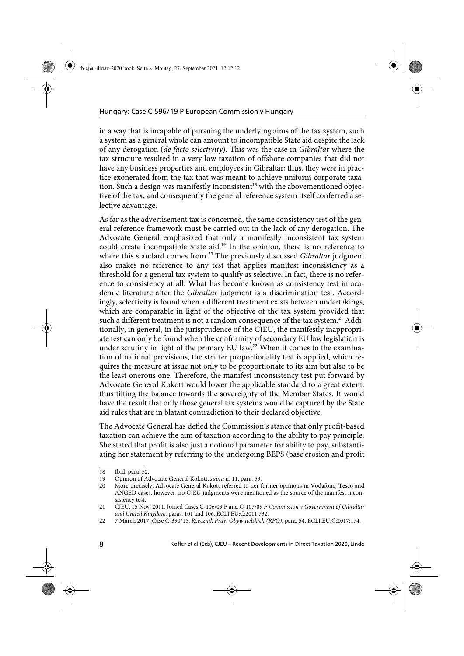in a way that is incapable of pursuing the underlying aims of the tax system, such a system as a general whole can amount to incompatible State aid despite the lack of any derogation (de facto selectivity). This was the case in Gibraltar where the tax structure resulted in a very low taxation of offshore companies that did not have any business properties and employees in Gibraltar; thus, they were in practice exonerated from the tax that was meant to achieve uniform corporate taxation. Such a design was manifestly inconsistent<sup>18</sup> with the abovementioned objective of the tax, and consequently the general reference system itself conferred a selective advantage.

As far as the advertisement tax is concerned, the same consistency test of the general reference framework must be carried out in the lack of any derogation. The Advocate General emphasized that only a manifestly inconsistent tax system could create incompatible State aid.19 In the opinion, there is no reference to where this standard comes from.<sup>20</sup> The previously discussed Gibraltar judgment also makes no reference to any test that applies manifest inconsistency as a threshold for a general tax system to qualify as selective. In fact, there is no reference to consistency at all. What has become known as consistency test in academic literature after the Gibraltar judgment is a discrimination test. Accordingly, selectivity is found when a different treatment exists between undertakings, which are comparable in light of the objective of the tax system provided that such a different treatment is not a random consequence of the tax system.<sup>21</sup> Additionally, in general, in the jurisprudence of the CJEU, the manifestly inappropriate test can only be found when the conformity of secondary EU law legislation is under scrutiny in light of the primary EU law.<sup>22</sup> When it comes to the examination of national provisions, the stricter proportionality test is applied, which requires the measure at issue not only to be proportionate to its aim but also to be the least onerous one. Therefore, the manifest inconsistency test put forward by Advocate General Kokott would lower the applicable standard to a great extent, thus tilting the balance towards the sovereignty of the Member States. It would have the result that only those general tax systems would be captured by the State aid rules that are in blatant contradiction to their declared objective.

The Advocate General has defied the Commission's stance that only profit-based taxation can achieve the aim of taxation according to the ability to pay principle. She stated that profit is also just a notional parameter for ability to pay, substantiating her statement by referring to the undergoing BEPS (base erosion and profit

<sup>18</sup> Ibid. para. 52.

<sup>19</sup> Opinion of Advocate General Kokott, supra n. 11, para. 53.

<sup>20</sup> More precisely, Advocate General Kokott referred to her former opinions in Vodafone, Tesco and ANGED cases, however, no CJEU judgments were mentioned as the source of the manifest inconsistency test.

<sup>21</sup> CJEU, 15 Nov. 2011, Joined Cases C-106/09 P and C-107/09 P Commission v Government of Gibraltar and United Kingdom, paras. 101 and 106, ECLI:EU:C:2011:732.

<sup>22 7</sup> March 2017, Case C-390/15, Rzecznik Praw Obywatelskich (RPO), para. 54, ECLI:EU:C:2017:174.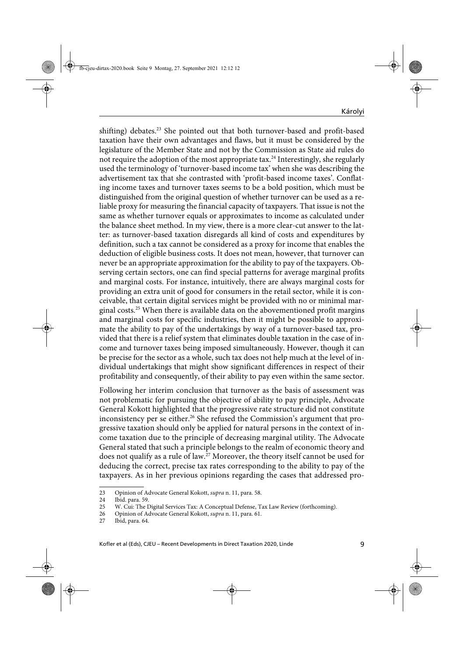shifting) debates.<sup>23</sup> She pointed out that both turnover-based and profit-based taxation have their own advantages and flaws, but it must be considered by the legislature of the Member State and not by the Commission as State aid rules do not require the adoption of the most appropriate tax.<sup>24</sup> Interestingly, she regularly used the terminology of 'turnover-based income tax' when she was describing the advertisement tax that she contrasted with 'profit-based income taxes'. Conflating income taxes and turnover taxes seems to be a bold position, which must be distinguished from the original question of whether turnover can be used as a reliable proxy for measuring the financial capacity of taxpayers. That issue is not the same as whether turnover equals or approximates to income as calculated under the balance sheet method. In my view, there is a more clear-cut answer to the latter: as turnover-based taxation disregards all kind of costs and expenditures by definition, such a tax cannot be considered as a proxy for income that enables the deduction of eligible business costs. It does not mean, however, that turnover can never be an appropriate approximation for the ability to pay of the taxpayers. Observing certain sectors, one can find special patterns for average marginal profits and marginal costs. For instance, intuitively, there are always marginal costs for providing an extra unit of good for consumers in the retail sector, while it is conceivable, that certain digital services might be provided with no or minimal marginal costs.25 When there is available data on the abovementioned profit margins and marginal costs for specific industries, then it might be possible to approximate the ability to pay of the undertakings by way of a turnover-based tax, provided that there is a relief system that eliminates double taxation in the case of income and turnover taxes being imposed simultaneously. However, though it can be precise for the sector as a whole, such tax does not help much at the level of individual undertakings that might show significant differences in respect of their profitability and consequently, of their ability to pay even within the same sector.

Following her interim conclusion that turnover as the basis of assessment was not problematic for pursuing the objective of ability to pay principle, Advocate General Kokott highlighted that the progressive rate structure did not constitute inconsistency per se either.<sup>26</sup> She refused the Commission's argument that progressive taxation should only be applied for natural persons in the context of income taxation due to the principle of decreasing marginal utility. The Advocate General stated that such a principle belongs to the realm of economic theory and does not qualify as a rule of law.<sup>27</sup> Moreover, the theory itself cannot be used for deducing the correct, precise tax rates corresponding to the ability to pay of the taxpayers. As in her previous opinions regarding the cases that addressed pro-

<sup>23</sup> Opinion of Advocate General Kokott, *supra* n. 11, para. 58.<br>24 Ibid. para. 59.

<sup>24</sup> Ibid. para. 59.<br>25 W. Cui: The I

W. Cui: The Digital Services Tax: A Conceptual Defense, Tax Law Review (forthcoming).

<sup>26</sup> Opinion of Advocate General Kokott, *supra* n. 11, para. 61.

<sup>27</sup> Ibid, para. 64.